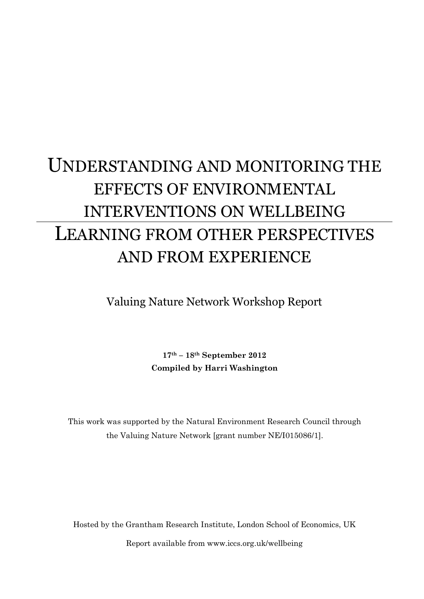# UNDERSTANDING AND MONITORING THE EFFECTS OF ENVIRONMENTAL INTERVENTIONS ON WELLBEING LEARNING FROM OTHER PERSPECTIVES AND FROM EXPERIENCE

Valuing Nature Network Workshop Report

**17th – 18th September 2012 Compiled by Harri Washington**

This work was supported by the Natural Environment Research Council through the Valuing Nature Network [grant number NE/I015086/1].

Hosted by the Grantham Research Institute, London School of Economics, UK Report available from www.iccs.org.uk/wellbeing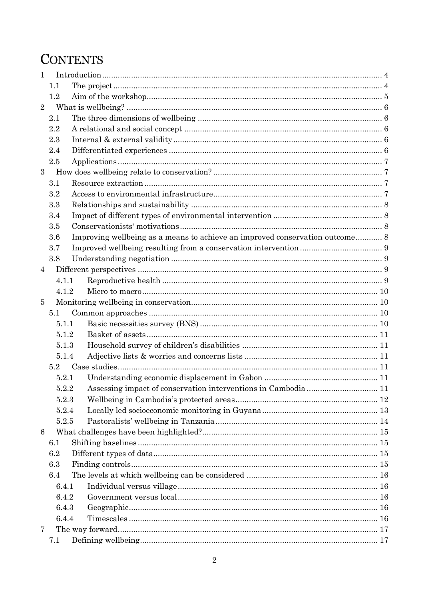# **CONTENTS**

| 1              |                                                                                     |  |
|----------------|-------------------------------------------------------------------------------------|--|
|                | 1.1                                                                                 |  |
|                | 1.2                                                                                 |  |
| $\overline{2}$ |                                                                                     |  |
|                | 2.1                                                                                 |  |
|                | 2.2                                                                                 |  |
|                | 2.3                                                                                 |  |
|                | 2.4                                                                                 |  |
|                | 2.5                                                                                 |  |
| 3              |                                                                                     |  |
|                | 3.1                                                                                 |  |
|                | 3.2                                                                                 |  |
|                | 3.3                                                                                 |  |
|                | 3.4                                                                                 |  |
|                | 3.5                                                                                 |  |
|                | Improving wellbeing as a means to achieve an improved conservation outcome 8<br>3.6 |  |
|                | 3.7                                                                                 |  |
|                | 3.8                                                                                 |  |
| $\overline{4}$ |                                                                                     |  |
|                | 4.1.1                                                                               |  |
|                | 4.1.2                                                                               |  |
| $\overline{5}$ |                                                                                     |  |
|                | 5.1                                                                                 |  |
|                | 5.1.1                                                                               |  |
|                | 5.1.2                                                                               |  |
|                | 5.1.3                                                                               |  |
|                | 5.1.4                                                                               |  |
|                | 5.2                                                                                 |  |
|                | 5.2.1                                                                               |  |
|                | 5.2.2                                                                               |  |
|                | 5.2.3                                                                               |  |
|                | 5.2.4                                                                               |  |
|                | 5.2.5                                                                               |  |
| 6              |                                                                                     |  |
|                | 6.1                                                                                 |  |
|                | 6.2                                                                                 |  |
|                | 6.3                                                                                 |  |
|                | 6.4                                                                                 |  |
|                | 6.4.1                                                                               |  |
|                | 6.4.2                                                                               |  |
|                | 6.4.3                                                                               |  |
|                | 6.4.4                                                                               |  |
| 7              |                                                                                     |  |
|                | 7.1                                                                                 |  |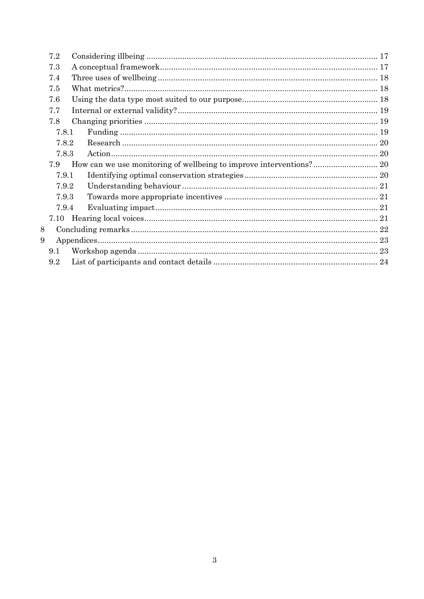| 7.2 |       |  |
|-----|-------|--|
| 7.3 |       |  |
| 7.4 |       |  |
| 7.5 |       |  |
| 7.6 |       |  |
| 7.7 |       |  |
| 7.8 |       |  |
|     | 7.8.1 |  |
|     | 7.8.2 |  |
|     | 7.8.3 |  |
| 7.9 |       |  |
|     | 7.9.1 |  |
|     | 7.9.2 |  |
|     | 7.9.3 |  |
|     | 7.9.4 |  |
|     |       |  |
| 8   |       |  |
| 9   |       |  |
| 9.1 |       |  |
| 9.2 |       |  |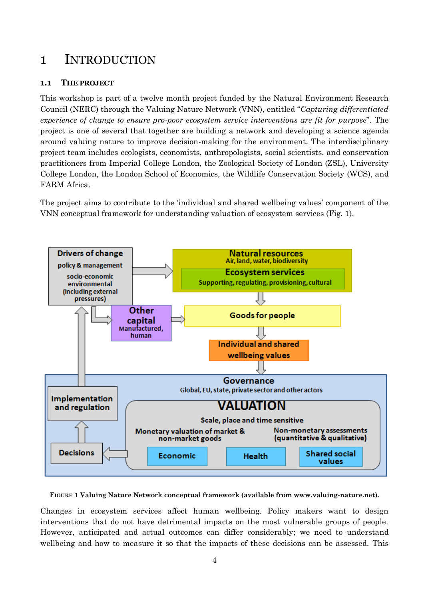## <span id="page-3-0"></span>1 INTRODUCTION

#### <span id="page-3-1"></span>**1.1 THE PROJECT**

This workshop is part of a twelve month project funded by the Natural Environment Research Council (NERC) through the Valuing Nature Network (VNN), entitled "*Capturing differentiated experience of change to ensure pro-poor ecosystem service interventions are fit for purpose*". The project is one of several that together are building a network and developing a science agenda around valuing nature to improve decision-making for the environment. The interdisciplinary project team includes ecologists, economists, anthropologists, social scientists, and conservation practitioners from Imperial College London, the Zoological Society of London (ZSL), University College London, the London School of Economics, the Wildlife Conservation Society (WCS), and FARM Africa.

The project aims to contribute to the 'individual and shared wellbeing values' component of the VNN conceptual framework for understanding valuation of ecosystem services (Fig. 1).



**FIGURE 1 Valuing Nature Network conceptual framework (available from www.valuing-nature.net).**

Changes in ecosystem services affect human wellbeing. Policy makers want to design interventions that do not have detrimental impacts on the most vulnerable groups of people. However, anticipated and actual outcomes can differ considerably; we need to understand wellbeing and how to measure it so that the impacts of these decisions can be assessed. This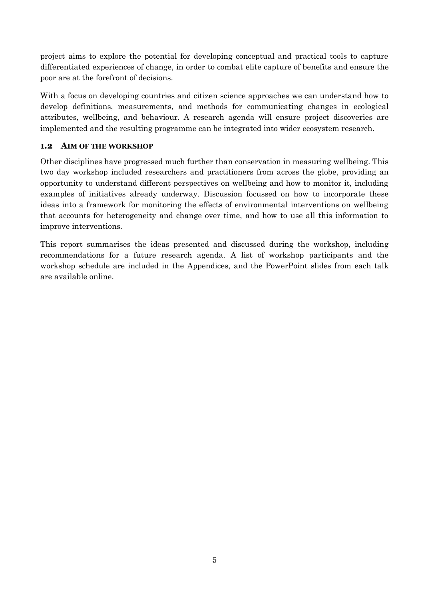project aims to explore the potential for developing conceptual and practical tools to capture differentiated experiences of change, in order to combat elite capture of benefits and ensure the poor are at the forefront of decisions.

With a focus on developing countries and citizen science approaches we can understand how to develop definitions, measurements, and methods for communicating changes in ecological attributes, wellbeing, and behaviour. A research agenda will ensure project discoveries are implemented and the resulting programme can be integrated into wider ecosystem research.

#### <span id="page-4-0"></span>**1.2 AIM OF THE WORKSHOP**

Other disciplines have progressed much further than conservation in measuring wellbeing. This two day workshop included researchers and practitioners from across the globe, providing an opportunity to understand different perspectives on wellbeing and how to monitor it, including examples of initiatives already underway. Discussion focussed on how to incorporate these ideas into a framework for monitoring the effects of environmental interventions on wellbeing that accounts for heterogeneity and change over time, and how to use all this information to improve interventions.

This report summarises the ideas presented and discussed during the workshop, including recommendations for a future research agenda. A list of workshop participants and the workshop schedule are included in the Appendices, and the PowerPoint slides from each talk are available online.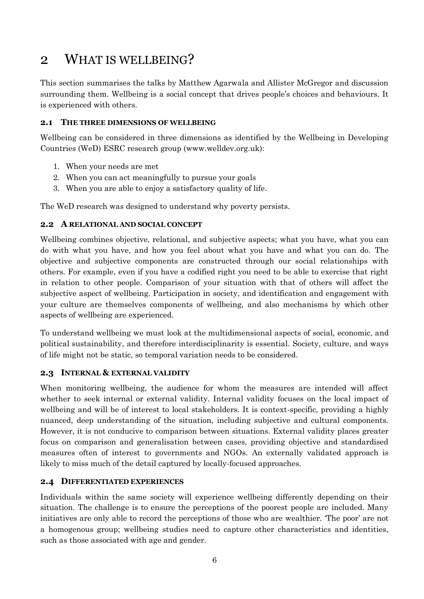### <span id="page-5-0"></span>2 WHAT IS WELLBEING?

This section summarises the talks by Matthew Agarwala and Allister McGregor and discussion surrounding them. Wellbeing is a social concept that drives people's choices and behaviours. It is experienced with others.

#### <span id="page-5-1"></span>**2.1 THE THREE DIMENSIONS OF WELLBEING**

Wellbeing can be considered in three dimensions as identified by the Wellbeing in Developing Countries (WeD) ESRC research group (www.welldev.org.uk):

- 1. When your needs are met
- 2. When you can act meaningfully to pursue your goals
- 3. When you are able to enjoy a satisfactory quality of life.

The WeD research was designed to understand why poverty persists.

#### <span id="page-5-2"></span>**2.2 A RELATIONAL AND SOCIAL CONCEPT**

Wellbeing combines objective, relational, and subjective aspects; what you have, what you can do with what you have, and how you feel about what you have and what you can do. The objective and subjective components are constructed through our social relationships with others. For example, even if you have a codified right you need to be able to exercise that right in relation to other people. Comparison of your situation with that of others will affect the subjective aspect of wellbeing. Participation in society, and identification and engagement with your culture are themselves components of wellbeing, and also mechanisms by which other aspects of wellbeing are experienced.

To understand wellbeing we must look at the multidimensional aspects of social, economic, and political sustainability, and therefore interdisciplinarity is essential. Society, culture, and ways of life might not be static, so temporal variation needs to be considered.

#### <span id="page-5-3"></span>**2.3 INTERNAL & EXTERNAL VALIDITY**

When monitoring wellbeing, the audience for whom the measures are intended will affect whether to seek internal or external validity. Internal validity focuses on the local impact of wellbeing and will be of interest to local stakeholders. It is context-specific, providing a highly nuanced, deep understanding of the situation, including subjective and cultural components. However, it is not conducive to comparison between situations. External validity places greater focus on comparison and generalisation between cases, providing objective and standardised measures often of interest to governments and NGOs. An externally validated approach is likely to miss much of the detail captured by locally-focused approaches.

#### <span id="page-5-4"></span>**2.4 DIFFERENTIATED EXPERIENCES**

Individuals within the same society will experience wellbeing differently depending on their situation. The challenge is to ensure the perceptions of the poorest people are included. Many initiatives are only able to record the perceptions of those who are wealthier. 'The poor' are not a homogenous group; wellbeing studies need to capture other characteristics and identities, such as those associated with age and gender.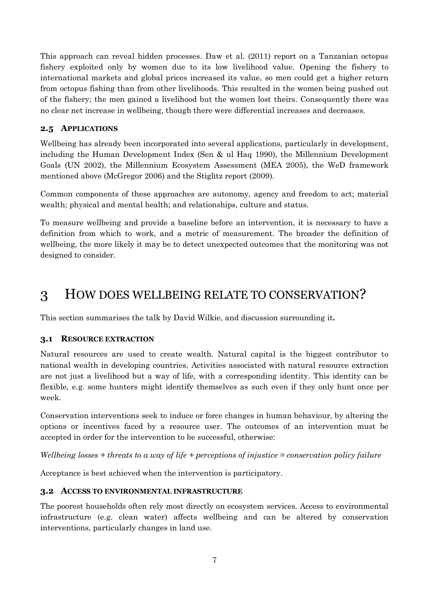This approach can reveal hidden processes. Daw et al. (2011) report on a Tanzanian octopus fishery exploited only by women due to its low livelihood value. Opening the fishery to international markets and global prices increased its value, so men could get a higher return from octopus fishing than from other livelihoods. This resulted in the women being pushed out of the fishery; the men gained a livelihood but the women lost theirs. Consequently there was no clear net increase in wellbeing, though there were differential increases and decreases.

#### <span id="page-6-0"></span>**2.5 APPLICATIONS**

Wellbeing has already been incorporated into several applications, particularly in development, including the Human Development Index (Sen & ul Haq 1990), the Millennium Development Goals (UN 2002), the Millennium Ecosystem Assessment (MEA 2005), the WeD framework mentioned above (McGregor 2006) and the Stiglitz report (2009).

Common components of these approaches are autonomy, agency and freedom to act; material wealth; physical and mental health; and relationships, culture and status.

To measure wellbeing and provide a baseline before an intervention, it is necessary to have a definition from which to work, and a metric of measurement. The broader the definition of wellbeing, the more likely it may be to detect unexpected outcomes that the monitoring was not designed to consider.

### <span id="page-6-1"></span>3 HOW DOES WELLBEING RELATE TO CONSERVATION?

This section summarises the talk by David Wilkie, and discussion surrounding it**.**

#### <span id="page-6-2"></span>**3.1 RESOURCE EXTRACTION**

Natural resources are used to create wealth. Natural capital is the biggest contributor to national wealth in developing countries. Activities associated with natural resource extraction are not just a livelihood but a way of life, with a corresponding identity. This identity can be flexible, e.g. some hunters might identify themselves as such even if they only hunt once per week.

Conservation interventions seek to induce or force changes in human behaviour, by altering the options or incentives faced by a resource user. The outcomes of an intervention must be accepted in order for the intervention to be successful, otherwise:

*Wellbeing losses + threats to a way of life + perceptions of injustice = conservation policy failure*

Acceptance is best achieved when the intervention is participatory.

#### <span id="page-6-3"></span>**3.2 ACCESS TO ENVIRONMENTAL INFRASTRUCTURE**

The poorest households often rely most directly on ecosystem services. Access to environmental infrastructure (e.g. clean water) affects wellbeing and can be altered by conservation interventions, particularly changes in land use.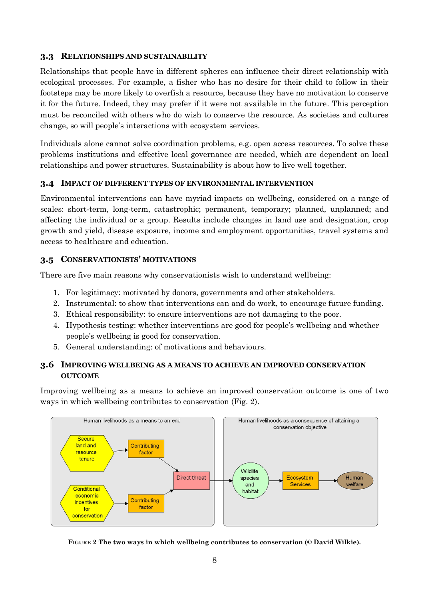#### <span id="page-7-0"></span>**3.3 RELATIONSHIPS AND SUSTAINABILITY**

Relationships that people have in different spheres can influence their direct relationship with ecological processes. For example, a fisher who has no desire for their child to follow in their footsteps may be more likely to overfish a resource, because they have no motivation to conserve it for the future. Indeed, they may prefer if it were not available in the future. This perception must be reconciled with others who do wish to conserve the resource. As societies and cultures change, so will people's interactions with ecosystem services.

Individuals alone cannot solve coordination problems, e.g. open access resources. To solve these problems institutions and effective local governance are needed, which are dependent on local relationships and power structures. Sustainability is about how to live well together.

#### <span id="page-7-1"></span>**3.4 IMPACT OF DIFFERENT TYPES OF ENVIRONMENTAL INTERVENTION**

Environmental interventions can have myriad impacts on wellbeing, considered on a range of scales: short-term, long-term, catastrophic; permanent, temporary; planned, unplanned; and affecting the individual or a group. Results include changes in land use and designation, crop growth and yield, disease exposure, income and employment opportunities, travel systems and access to healthcare and education.

#### <span id="page-7-2"></span>**3.5 CONSERVATIONISTS' MOTIVATIONS**

There are five main reasons why conservationists wish to understand wellbeing:

- 1. For legitimacy: motivated by donors, governments and other stakeholders.
- 2. Instrumental: to show that interventions can and do work, to encourage future funding.
- 3. Ethical responsibility: to ensure interventions are not damaging to the poor.
- 4. Hypothesis testing: whether interventions are good for people's wellbeing and whether people's wellbeing is good for conservation.
- 5. General understanding: of motivations and behaviours.

#### <span id="page-7-3"></span>**3.6 IMPROVING WELLBEING AS A MEANS TO ACHIEVE AN IMPROVED CONSERVATION OUTCOME**

Improving wellbeing as a means to achieve an improved conservation outcome is one of two ways in which wellbeing contributes to conservation (Fig. 2).



**FIGURE 2 The two ways in which wellbeing contributes to conservation (© David Wilkie).**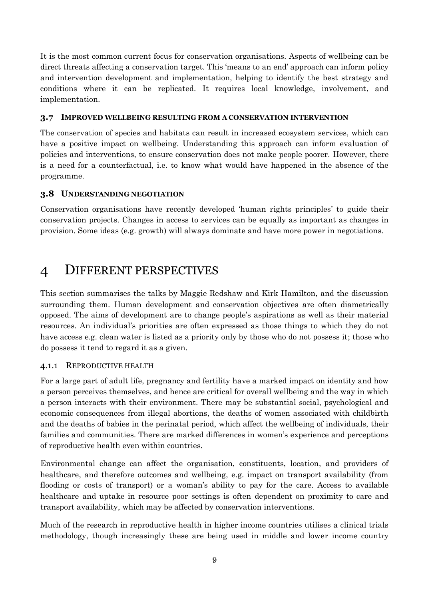It is the most common current focus for conservation organisations. Aspects of wellbeing can be direct threats affecting a conservation target. This 'means to an end' approach can inform policy and intervention development and implementation, helping to identify the best strategy and conditions where it can be replicated. It requires local knowledge, involvement, and implementation.

#### <span id="page-8-0"></span>**3.7 IMPROVED WELLBEING RESULTING FROM A CONSERVATION INTERVENTION**

The conservation of species and habitats can result in increased ecosystem services, which can have a positive impact on wellbeing. Understanding this approach can inform evaluation of policies and interventions, to ensure conservation does not make people poorer. However, there is a need for a counterfactual, i.e. to know what would have happened in the absence of the programme.

#### <span id="page-8-1"></span>**3.8 UNDERSTANDING NEGOTIATION**

Conservation organisations have recently developed 'human rights principles' to guide their conservation projects. Changes in access to services can be equally as important as changes in provision. Some ideas (e.g. growth) will always dominate and have more power in negotiations.

### <span id="page-8-2"></span>4 DIFFERENT PERSPECTIVES

This section summarises the talks by Maggie Redshaw and Kirk Hamilton, and the discussion surrounding them. Human development and conservation objectives are often diametrically opposed. The aims of development are to change people's aspirations as well as their material resources. An individual's priorities are often expressed as those things to which they do not have access e.g. clean water is listed as a priority only by those who do not possess it; those who do possess it tend to regard it as a given.

#### <span id="page-8-3"></span>4.1.1 REPRODUCTIVE HEALTH

For a large part of adult life, pregnancy and fertility have a marked impact on identity and how a person perceives themselves, and hence are critical for overall wellbeing and the way in which a person interacts with their environment. There may be substantial social, psychological and economic consequences from illegal abortions, the deaths of women associated with childbirth and the deaths of babies in the perinatal period, which affect the wellbeing of individuals, their families and communities. There are marked differences in women's experience and perceptions of reproductive health even within countries.

Environmental change can affect the organisation, constituents, location, and providers of healthcare, and therefore outcomes and wellbeing, e.g. impact on transport availability (from flooding or costs of transport) or a woman's ability to pay for the care. Access to available healthcare and uptake in resource poor settings is often dependent on proximity to care and transport availability, which may be affected by conservation interventions.

Much of the research in reproductive health in higher income countries utilises a clinical trials methodology, though increasingly these are being used in middle and lower income country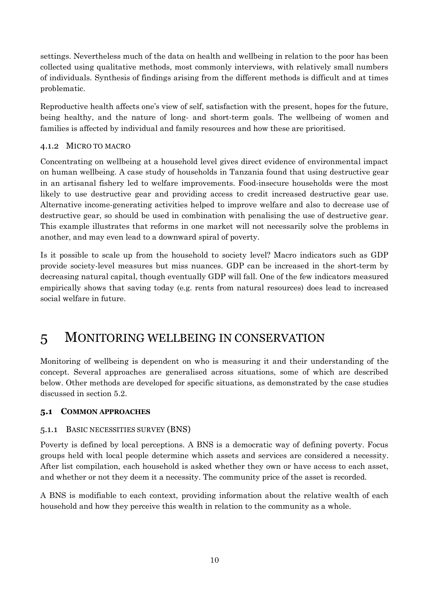settings. Nevertheless much of the data on health and wellbeing in relation to the poor has been collected using qualitative methods, most commonly interviews, with relatively small numbers of individuals. Synthesis of findings arising from the different methods is difficult and at times problematic.

Reproductive health affects one's view of self, satisfaction with the present, hopes for the future, being healthy, and the nature of long- and short-term goals. The wellbeing of women and families is affected by individual and family resources and how these are prioritised.

#### <span id="page-9-0"></span>4.1.2 MICRO TO MACRO

Concentrating on wellbeing at a household level gives direct evidence of environmental impact on human wellbeing. A case study of households in Tanzania found that using destructive gear in an artisanal fishery led to welfare improvements. Food-insecure households were the most likely to use destructive gear and providing access to credit increased destructive gear use. Alternative income-generating activities helped to improve welfare and also to decrease use of destructive gear, so should be used in combination with penalising the use of destructive gear. This example illustrates that reforms in one market will not necessarily solve the problems in another, and may even lead to a downward spiral of poverty.

Is it possible to scale up from the household to society level? Macro indicators such as GDP provide society-level measures but miss nuances. GDP can be increased in the short-term by decreasing natural capital, though eventually GDP will fall. One of the few indicators measured empirically shows that saving today (e.g. rents from natural resources) does lead to increased social welfare in future.

### <span id="page-9-1"></span>5 MONITORING WELLBEING IN CONSERVATION

Monitoring of wellbeing is dependent on who is measuring it and their understanding of the concept. Several approaches are generalised across situations, some of which are described below. Other methods are developed for specific situations, as demonstrated by the case studies discussed in section 5.2.

#### <span id="page-9-2"></span>**5.1 COMMON APPROACHES**

#### <span id="page-9-3"></span>5.1.1 BASIC NECESSITIES SURVEY (BNS)

Poverty is defined by local perceptions. A BNS is a democratic way of defining poverty. Focus groups held with local people determine which assets and services are considered a necessity. After list compilation, each household is asked whether they own or have access to each asset, and whether or not they deem it a necessity. The community price of the asset is recorded.

A BNS is modifiable to each context, providing information about the relative wealth of each household and how they perceive this wealth in relation to the community as a whole.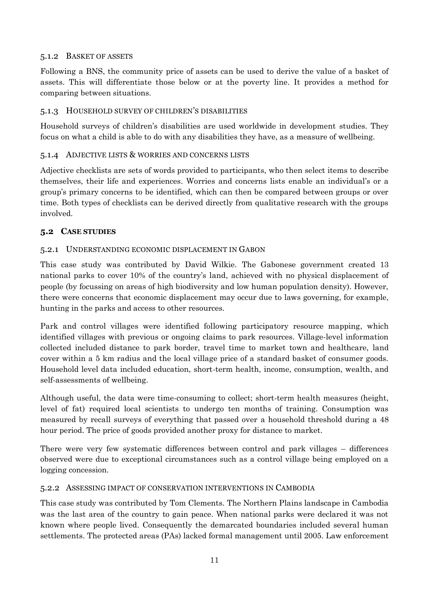#### <span id="page-10-0"></span>5.1.2 BASKET OF ASSETS

Following a BNS, the community price of assets can be used to derive the value of a basket of assets. This will differentiate those below or at the poverty line. It provides a method for comparing between situations.

#### <span id="page-10-1"></span>5.1.3 HOUSEHOLD SURVEY OF CHILDREN'S DISABILITIES

Household surveys of children's disabilities are used worldwide in development studies. They focus on what a child is able to do with any disabilities they have, as a measure of wellbeing.

#### <span id="page-10-2"></span>5.1.4 ADJECTIVE LISTS & WORRIES AND CONCERNS LISTS

Adjective checklists are sets of words provided to participants, who then select items to describe themselves, their life and experiences. Worries and concerns lists enable an individual's or a group's primary concerns to be identified, which can then be compared between groups or over time. Both types of checklists can be derived directly from qualitative research with the groups involved.

#### <span id="page-10-3"></span>**5.2 CASE STUDIES**

#### <span id="page-10-4"></span>5.2.1 UNDERSTANDING ECONOMIC DISPLACEMENT IN GABON

This case study was contributed by David Wilkie. The Gabonese government created 13 national parks to cover 10% of the country's land, achieved with no physical displacement of people (by focussing on areas of high biodiversity and low human population density). However, there were concerns that economic displacement may occur due to laws governing, for example, hunting in the parks and access to other resources.

Park and control villages were identified following participatory resource mapping, which identified villages with previous or ongoing claims to park resources. Village-level information collected included distance to park border, travel time to market town and healthcare, land cover within a 5 km radius and the local village price of a standard basket of consumer goods. Household level data included education, short-term health, income, consumption, wealth, and self-assessments of wellbeing.

Although useful, the data were time-consuming to collect; short-term health measures (height, level of fat) required local scientists to undergo ten months of training. Consumption was measured by recall surveys of everything that passed over a household threshold during a 48 hour period. The price of goods provided another proxy for distance to market.

There were very few systematic differences between control and park villages – differences observed were due to exceptional circumstances such as a control village being employed on a logging concession.

#### <span id="page-10-5"></span>5.2.2 ASSESSING IMPACT OF CONSERVATION INTERVENTIONS IN CAMBODIA

This case study was contributed by Tom Clements. The Northern Plains landscape in Cambodia was the last area of the country to gain peace. When national parks were declared it was not known where people lived. Consequently the demarcated boundaries included several human settlements. The protected areas (PAs) lacked formal management until 2005. Law enforcement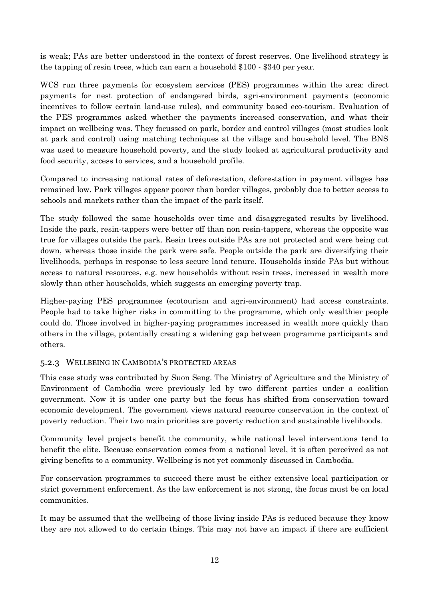is weak; PAs are better understood in the context of forest reserves. One livelihood strategy is the tapping of resin trees, which can earn a household \$100 - \$340 per year.

WCS run three payments for ecosystem services (PES) programmes within the area: direct payments for nest protection of endangered birds, agri-environment payments (economic incentives to follow certain land-use rules), and community based eco-tourism. Evaluation of the PES programmes asked whether the payments increased conservation, and what their impact on wellbeing was. They focussed on park, border and control villages (most studies look at park and control) using matching techniques at the village and household level. The BNS was used to measure household poverty, and the study looked at agricultural productivity and food security, access to services, and a household profile.

Compared to increasing national rates of deforestation, deforestation in payment villages has remained low. Park villages appear poorer than border villages, probably due to better access to schools and markets rather than the impact of the park itself.

The study followed the same households over time and disaggregated results by livelihood. Inside the park, resin-tappers were better off than non resin-tappers, whereas the opposite was true for villages outside the park. Resin trees outside PAs are not protected and were being cut down, whereas those inside the park were safe. People outside the park are diversifying their livelihoods, perhaps in response to less secure land tenure. Households inside PAs but without access to natural resources, e.g. new households without resin trees, increased in wealth more slowly than other households, which suggests an emerging poverty trap.

Higher-paying PES programmes (ecotourism and agri-environment) had access constraints. People had to take higher risks in committing to the programme, which only wealthier people could do. Those involved in higher-paying programmes increased in wealth more quickly than others in the village, potentially creating a widening gap between programme participants and others.

#### <span id="page-11-0"></span>5.2.3 WELLBEING IN CAMBODIA'S PROTECTED AREAS

This case study was contributed by Suon Seng. The Ministry of Agriculture and the Ministry of Environment of Cambodia were previously led by two different parties under a coalition government. Now it is under one party but the focus has shifted from conservation toward economic development. The government views natural resource conservation in the context of poverty reduction. Their two main priorities are poverty reduction and sustainable livelihoods.

Community level projects benefit the community, while national level interventions tend to benefit the elite. Because conservation comes from a national level, it is often perceived as not giving benefits to a community. Wellbeing is not yet commonly discussed in Cambodia.

For conservation programmes to succeed there must be either extensive local participation or strict government enforcement. As the law enforcement is not strong, the focus must be on local communities.

It may be assumed that the wellbeing of those living inside PAs is reduced because they know they are not allowed to do certain things. This may not have an impact if there are sufficient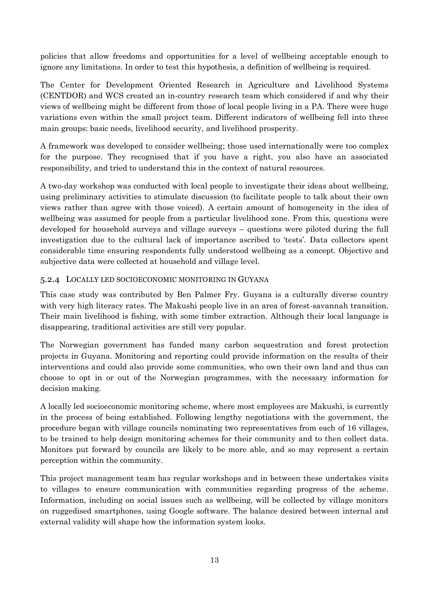policies that allow freedoms and opportunities for a level of wellbeing acceptable enough to ignore any limitations. In order to test this hypothesis, a definition of wellbeing is required.

The Center for Development Oriented Research in Agriculture and Livelihood Systems (CENTDOR) and WCS created an in-country research team which considered if and why their views of wellbeing might be different from those of local people living in a PA. There were huge variations even within the small project team. Different indicators of wellbeing fell into three main groups: basic needs, livelihood security, and livelihood prosperity.

A framework was developed to consider wellbeing; those used internationally were too complex for the purpose. They recognised that if you have a right, you also have an associated responsibility, and tried to understand this in the context of natural resources.

A two-day workshop was conducted with local people to investigate their ideas about wellbeing, using preliminary activities to stimulate discussion (to facilitate people to talk about their own views rather than agree with those voiced). A certain amount of homogeneity in the idea of wellbeing was assumed for people from a particular livelihood zone. From this, questions were developed for household surveys and village surveys – questions were piloted during the full investigation due to the cultural lack of importance ascribed to 'tests'. Data collectors spent considerable time ensuring respondents fully understood wellbeing as a concept. Objective and subjective data were collected at household and village level.

#### <span id="page-12-0"></span>5.2.4 LOCALLY LED SOCIOECONOMIC MONITORING IN GUYANA

This case study was contributed by Ben Palmer Fry. Guyana is a culturally diverse country with very high literacy rates. The Makushi people live in an area of forest-savannah transition. Their main livelihood is fishing, with some timber extraction. Although their local language is disappearing, traditional activities are still very popular.

The Norwegian government has funded many carbon sequestration and forest protection projects in Guyana. Monitoring and reporting could provide information on the results of their interventions and could also provide some communities, who own their own land and thus can choose to opt in or out of the Norwegian programmes, with the necessary information for decision making.

A locally led socioeconomic monitoring scheme, where most employees are Makushi, is currently in the process of being established. Following lengthy negotiations with the government, the procedure began with village councils nominating two representatives from each of 16 villages, to be trained to help design monitoring schemes for their community and to then collect data. Monitors put forward by councils are likely to be more able, and so may represent a certain perception within the community.

This project management team has regular workshops and in between these undertakes visits to villages to ensure communication with communities regarding progress of the scheme. Information, including on social issues such as wellbeing, will be collected by village monitors on ruggedised smartphones, using Google software. The balance desired between internal and external validity will shape how the information system looks.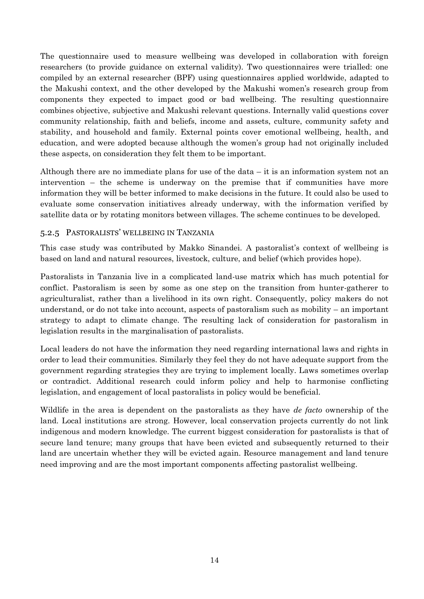The questionnaire used to measure wellbeing was developed in collaboration with foreign researchers (to provide guidance on external validity). Two questionnaires were trialled: one compiled by an external researcher (BPF) using questionnaires applied worldwide, adapted to the Makushi context, and the other developed by the Makushi women's research group from components they expected to impact good or bad wellbeing. The resulting questionnaire combines objective, subjective and Makushi relevant questions. Internally valid questions cover community relationship, faith and beliefs, income and assets, culture, community safety and stability, and household and family. External points cover emotional wellbeing, health, and education, and were adopted because although the women's group had not originally included these aspects, on consideration they felt them to be important.

Although there are no immediate plans for use of the data  $-$  it is an information system not an intervention – the scheme is underway on the premise that if communities have more information they will be better informed to make decisions in the future. It could also be used to evaluate some conservation initiatives already underway, with the information verified by satellite data or by rotating monitors between villages. The scheme continues to be developed.

#### <span id="page-13-0"></span>5.2.5 PASTORALISTS' WELLBEING IN TANZANIA

This case study was contributed by Makko Sinandei. A pastoralist's context of wellbeing is based on land and natural resources, livestock, culture, and belief (which provides hope).

Pastoralists in Tanzania live in a complicated land-use matrix which has much potential for conflict. Pastoralism is seen by some as one step on the transition from hunter-gatherer to agriculturalist, rather than a livelihood in its own right. Consequently, policy makers do not understand, or do not take into account, aspects of pastoralism such as mobility – an important strategy to adapt to climate change. The resulting lack of consideration for pastoralism in legislation results in the marginalisation of pastoralists.

Local leaders do not have the information they need regarding international laws and rights in order to lead their communities. Similarly they feel they do not have adequate support from the government regarding strategies they are trying to implement locally. Laws sometimes overlap or contradict. Additional research could inform policy and help to harmonise conflicting legislation, and engagement of local pastoralists in policy would be beneficial.

Wildlife in the area is dependent on the pastoralists as they have *de facto* ownership of the land. Local institutions are strong. However, local conservation projects currently do not link indigenous and modern knowledge. The current biggest consideration for pastoralists is that of secure land tenure; many groups that have been evicted and subsequently returned to their land are uncertain whether they will be evicted again. Resource management and land tenure need improving and are the most important components affecting pastoralist wellbeing.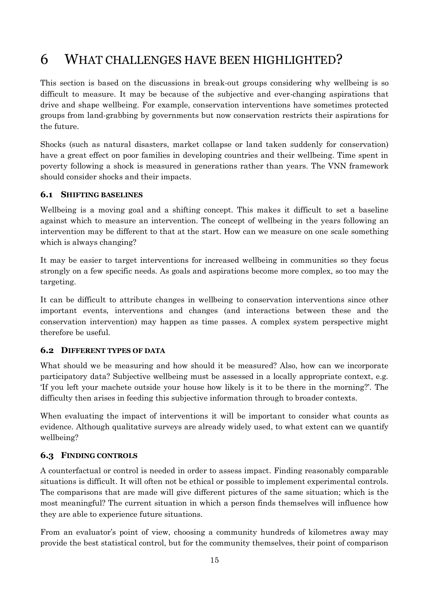## <span id="page-14-0"></span>6 WHAT CHALLENGES HAVE BEEN HIGHLIGHTED?

This section is based on the discussions in break-out groups considering why wellbeing is so difficult to measure. It may be because of the subjective and ever-changing aspirations that drive and shape wellbeing. For example, conservation interventions have sometimes protected groups from land-grabbing by governments but now conservation restricts their aspirations for the future.

Shocks (such as natural disasters, market collapse or land taken suddenly for conservation) have a great effect on poor families in developing countries and their wellbeing. Time spent in poverty following a shock is measured in generations rather than years. The VNN framework should consider shocks and their impacts.

#### <span id="page-14-1"></span>**6.1 SHIFTING BASELINES**

Wellbeing is a moving goal and a shifting concept. This makes it difficult to set a baseline against which to measure an intervention. The concept of wellbeing in the years following an intervention may be different to that at the start. How can we measure on one scale something which is always changing?

It may be easier to target interventions for increased wellbeing in communities so they focus strongly on a few specific needs. As goals and aspirations become more complex, so too may the targeting.

It can be difficult to attribute changes in wellbeing to conservation interventions since other important events, interventions and changes (and interactions between these and the conservation intervention) may happen as time passes. A complex system perspective might therefore be useful.

#### <span id="page-14-2"></span>**6.2 DIFFERENT TYPES OF DATA**

What should we be measuring and how should it be measured? Also, how can we incorporate participatory data? Subjective wellbeing must be assessed in a locally appropriate context, e.g. 'If you left your machete outside your house how likely is it to be there in the morning?'. The difficulty then arises in feeding this subjective information through to broader contexts.

When evaluating the impact of interventions it will be important to consider what counts as evidence. Although qualitative surveys are already widely used, to what extent can we quantify wellbeing?

#### <span id="page-14-3"></span>**6.3 FINDING CONTROLS**

A counterfactual or control is needed in order to assess impact. Finding reasonably comparable situations is difficult. It will often not be ethical or possible to implement experimental controls. The comparisons that are made will give different pictures of the same situation; which is the most meaningful? The current situation in which a person finds themselves will influence how they are able to experience future situations.

From an evaluator's point of view, choosing a community hundreds of kilometres away may provide the best statistical control, but for the community themselves, their point of comparison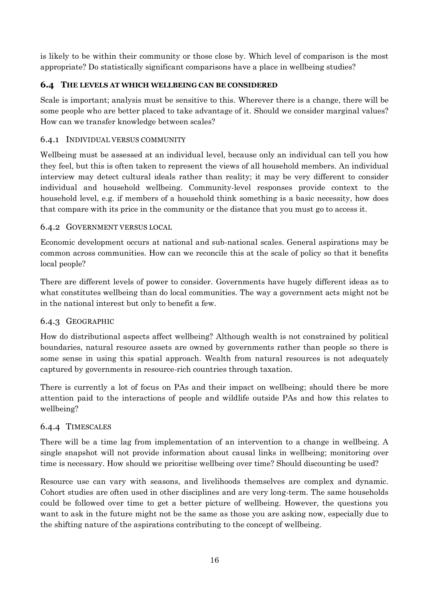is likely to be within their community or those close by. Which level of comparison is the most appropriate? Do statistically significant comparisons have a place in wellbeing studies?

#### <span id="page-15-0"></span>**6.4 THE LEVELS AT WHICH WELLBEING CAN BE CONSIDERED**

Scale is important; analysis must be sensitive to this. Wherever there is a change, there will be some people who are better placed to take advantage of it. Should we consider marginal values? How can we transfer knowledge between scales?

#### <span id="page-15-1"></span>6.4.1 INDIVIDUAL VERSUS COMMUNITY

Wellbeing must be assessed at an individual level, because only an individual can tell you how they feel, but this is often taken to represent the views of all household members. An individual interview may detect cultural ideals rather than reality; it may be very different to consider individual and household wellbeing. Community-level responses provide context to the household level, e.g. if members of a household think something is a basic necessity, how does that compare with its price in the community or the distance that you must go to access it.

#### <span id="page-15-2"></span>6.4.2 GOVERNMENT VERSUS LOCAL

Economic development occurs at national and sub-national scales. General aspirations may be common across communities. How can we reconcile this at the scale of policy so that it benefits local people?

There are different levels of power to consider. Governments have hugely different ideas as to what constitutes wellbeing than do local communities. The way a government acts might not be in the national interest but only to benefit a few.

#### <span id="page-15-3"></span>6.4.3 GEOGRAPHIC

How do distributional aspects affect wellbeing? Although wealth is not constrained by political boundaries, natural resource assets are owned by governments rather than people so there is some sense in using this spatial approach. Wealth from natural resources is not adequately captured by governments in resource-rich countries through taxation.

There is currently a lot of focus on PAs and their impact on wellbeing; should there be more attention paid to the interactions of people and wildlife outside PAs and how this relates to wellbeing?

#### <span id="page-15-4"></span>6.4.4 TIMESCALES

There will be a time lag from implementation of an intervention to a change in wellbeing. A single snapshot will not provide information about causal links in wellbeing; monitoring over time is necessary. How should we prioritise wellbeing over time? Should discounting be used?

Resource use can vary with seasons, and livelihoods themselves are complex and dynamic. Cohort studies are often used in other disciplines and are very long-term. The same households could be followed over time to get a better picture of wellbeing. However, the questions you want to ask in the future might not be the same as those you are asking now, especially due to the shifting nature of the aspirations contributing to the concept of wellbeing.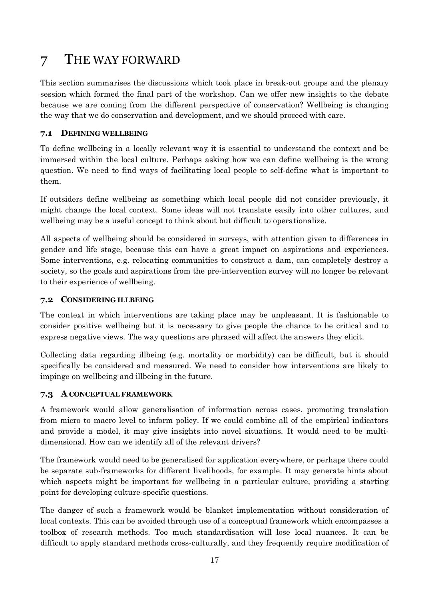# <span id="page-16-0"></span>7 THE WAY FORWARD

This section summarises the discussions which took place in break-out groups and the plenary session which formed the final part of the workshop. Can we offer new insights to the debate because we are coming from the different perspective of conservation? Wellbeing is changing the way that we do conservation and development, and we should proceed with care.

#### <span id="page-16-1"></span>**7.1 DEFINING WELLBEING**

To define wellbeing in a locally relevant way it is essential to understand the context and be immersed within the local culture. Perhaps asking how we can define wellbeing is the wrong question. We need to find ways of facilitating local people to self-define what is important to them.

If outsiders define wellbeing as something which local people did not consider previously, it might change the local context. Some ideas will not translate easily into other cultures, and wellbeing may be a useful concept to think about but difficult to operationalize.

All aspects of wellbeing should be considered in surveys, with attention given to differences in gender and life stage, because this can have a great impact on aspirations and experiences. Some interventions, e.g. relocating communities to construct a dam, can completely destroy a society, so the goals and aspirations from the pre-intervention survey will no longer be relevant to their experience of wellbeing.

#### <span id="page-16-2"></span>**7.2 CONSIDERING ILLBEING**

The context in which interventions are taking place may be unpleasant. It is fashionable to consider positive wellbeing but it is necessary to give people the chance to be critical and to express negative views. The way questions are phrased will affect the answers they elicit.

Collecting data regarding illbeing (e.g. mortality or morbidity) can be difficult, but it should specifically be considered and measured. We need to consider how interventions are likely to impinge on wellbeing and illbeing in the future.

#### <span id="page-16-3"></span>**7.3 A CONCEPTUAL FRAMEWORK**

A framework would allow generalisation of information across cases, promoting translation from micro to macro level to inform policy. If we could combine all of the empirical indicators and provide a model, it may give insights into novel situations. It would need to be multidimensional. How can we identify all of the relevant drivers?

The framework would need to be generalised for application everywhere, or perhaps there could be separate sub-frameworks for different livelihoods, for example. It may generate hints about which aspects might be important for wellbeing in a particular culture, providing a starting point for developing culture-specific questions.

The danger of such a framework would be blanket implementation without consideration of local contexts. This can be avoided through use of a conceptual framework which encompasses a toolbox of research methods. Too much standardisation will lose local nuances. It can be difficult to apply standard methods cross-culturally, and they frequently require modification of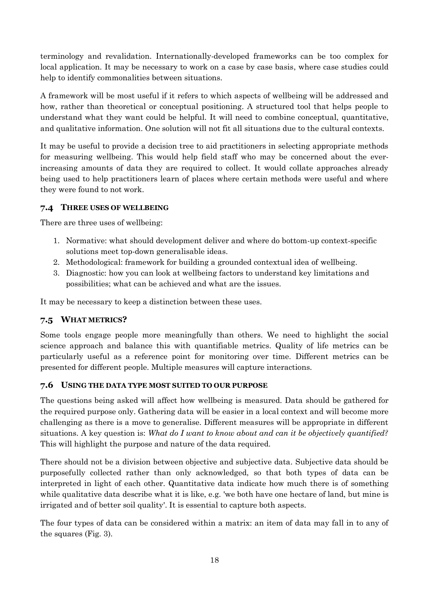terminology and revalidation. Internationally-developed frameworks can be too complex for local application. It may be necessary to work on a case by case basis, where case studies could help to identify commonalities between situations.

A framework will be most useful if it refers to which aspects of wellbeing will be addressed and how, rather than theoretical or conceptual positioning. A structured tool that helps people to understand what they want could be helpful. It will need to combine conceptual, quantitative, and qualitative information. One solution will not fit all situations due to the cultural contexts.

It may be useful to provide a decision tree to aid practitioners in selecting appropriate methods for measuring wellbeing. This would help field staff who may be concerned about the everincreasing amounts of data they are required to collect. It would collate approaches already being used to help practitioners learn of places where certain methods were useful and where they were found to not work.

#### <span id="page-17-0"></span>**7.4 THREE USES OF WELLBEING**

There are three uses of wellbeing:

- 1. Normative: what should development deliver and where do bottom-up context-specific solutions meet top-down generalisable ideas.
- 2. Methodological: framework for building a grounded contextual idea of wellbeing.
- 3. Diagnostic: how you can look at wellbeing factors to understand key limitations and possibilities; what can be achieved and what are the issues.

It may be necessary to keep a distinction between these uses.

#### <span id="page-17-1"></span>**7.5 WHAT METRICS?**

Some tools engage people more meaningfully than others. We need to highlight the social science approach and balance this with quantifiable metrics. Quality of life metrics can be particularly useful as a reference point for monitoring over time. Different metrics can be presented for different people. Multiple measures will capture interactions.

#### <span id="page-17-2"></span>**7.6 USING THE DATA TYPE MOST SUITED TO OUR PURPOSE**

The questions being asked will affect how wellbeing is measured. Data should be gathered for the required purpose only. Gathering data will be easier in a local context and will become more challenging as there is a move to generalise. Different measures will be appropriate in different situations. A key question is: *What do I want to know about and can it be objectively quantified?* This will highlight the purpose and nature of the data required.

There should not be a division between objective and subjective data. Subjective data should be purposefully collected rather than only acknowledged, so that both types of data can be interpreted in light of each other. Quantitative data indicate how much there is of something while qualitative data describe what it is like, e.g. 'we both have one hectare of land, but mine is irrigated and of better soil quality'. It is essential to capture both aspects.

The four types of data can be considered within a matrix: an item of data may fall in to any of the squares (Fig. 3).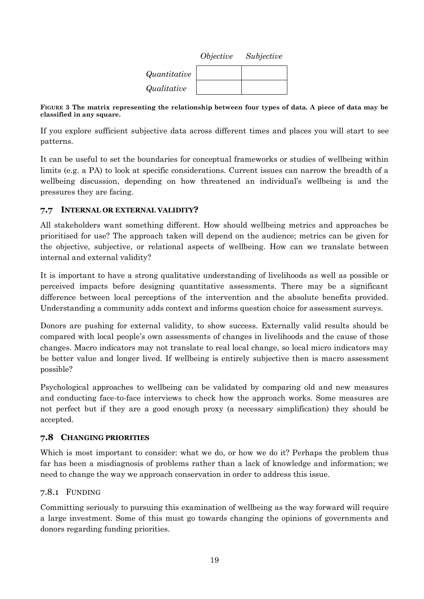|              | <i>Objective</i> | Subjective |
|--------------|------------------|------------|
| Quantitative |                  |            |
| Qualitative  |                  |            |

**FIGURE 3 The matrix representing the relationship between four types of data. A piece of data may be classified in any square.**

If you explore sufficient subjective data across different times and places you will start to see patterns.

It can be useful to set the boundaries for conceptual frameworks or studies of wellbeing within limits (e.g. a PA) to look at specific considerations. Current issues can narrow the breadth of a wellbeing discussion, depending on how threatened an individual's wellbeing is and the pressures they are facing.

#### <span id="page-18-0"></span>**7.7 INTERNAL OR EXTERNAL VALIDITY?**

All stakeholders want something different. How should wellbeing metrics and approaches be prioritised for use? The approach taken will depend on the audience; metrics can be given for the objective, subjective, or relational aspects of wellbeing. How can we translate between internal and external validity?

It is important to have a strong qualitative understanding of livelihoods as well as possible or perceived impacts before designing quantitative assessments. There may be a significant difference between local perceptions of the intervention and the absolute benefits provided. Understanding a community adds context and informs question choice for assessment surveys.

Donors are pushing for external validity, to show success. Externally valid results should be compared with local people's own assessments of changes in livelihoods and the cause of those changes. Macro indicators may not translate to real local change, so local micro indicators may be better value and longer lived. If wellbeing is entirely subjective then is macro assessment possible?

Psychological approaches to wellbeing can be validated by comparing old and new measures and conducting face-to-face interviews to check how the approach works. Some measures are not perfect but if they are a good enough proxy (a necessary simplification) they should be accepted.

#### <span id="page-18-1"></span>**7.8 CHANGING PRIORITIES**

Which is most important to consider: what we do, or how we do it? Perhaps the problem thus far has been a misdiagnosis of problems rather than a lack of knowledge and information; we need to change the way we approach conservation in order to address this issue.

#### <span id="page-18-2"></span>7.8.1 FUNDING

Committing seriously to pursuing this examination of wellbeing as the way forward will require a large investment. Some of this must go towards changing the opinions of governments and donors regarding funding priorities.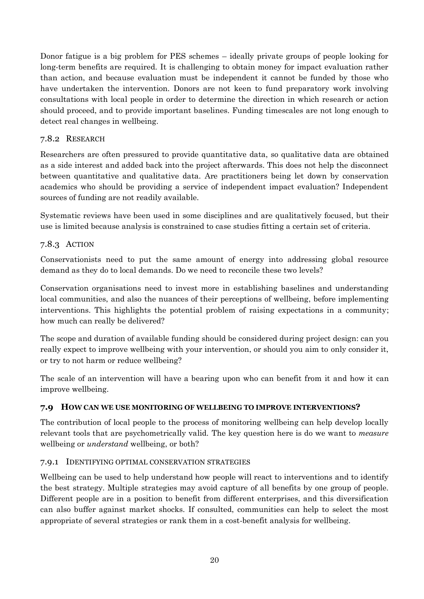Donor fatigue is a big problem for PES schemes – ideally private groups of people looking for long-term benefits are required. It is challenging to obtain money for impact evaluation rather than action, and because evaluation must be independent it cannot be funded by those who have undertaken the intervention. Donors are not keen to fund preparatory work involving consultations with local people in order to determine the direction in which research or action should proceed, and to provide important baselines. Funding timescales are not long enough to detect real changes in wellbeing.

#### <span id="page-19-0"></span>7.8.2 RESEARCH

Researchers are often pressured to provide quantitative data, so qualitative data are obtained as a side interest and added back into the project afterwards. This does not help the disconnect between quantitative and qualitative data. Are practitioners being let down by conservation academics who should be providing a service of independent impact evaluation? Independent sources of funding are not readily available.

Systematic reviews have been used in some disciplines and are qualitatively focused, but their use is limited because analysis is constrained to case studies fitting a certain set of criteria.

#### <span id="page-19-1"></span>7.8.3 ACTION

Conservationists need to put the same amount of energy into addressing global resource demand as they do to local demands. Do we need to reconcile these two levels?

Conservation organisations need to invest more in establishing baselines and understanding local communities, and also the nuances of their perceptions of wellbeing, before implementing interventions. This highlights the potential problem of raising expectations in a community; how much can really be delivered?

The scope and duration of available funding should be considered during project design: can you really expect to improve wellbeing with your intervention, or should you aim to only consider it, or try to not harm or reduce wellbeing?

The scale of an intervention will have a bearing upon who can benefit from it and how it can improve wellbeing.

#### <span id="page-19-2"></span>**7.9 HOW CAN WE USE MONITORING OF WELLBEING TO IMPROVE INTERVENTIONS?**

The contribution of local people to the process of monitoring wellbeing can help develop locally relevant tools that are psychometrically valid. The key question here is do we want to *measure* wellbeing or *understand* wellbeing, or both?

#### <span id="page-19-3"></span>7.9.1 IDENTIFYING OPTIMAL CONSERVATION STRATEGIES

Wellbeing can be used to help understand how people will react to interventions and to identify the best strategy. Multiple strategies may avoid capture of all benefits by one group of people. Different people are in a position to benefit from different enterprises, and this diversification can also buffer against market shocks. If consulted, communities can help to select the most appropriate of several strategies or rank them in a cost-benefit analysis for wellbeing.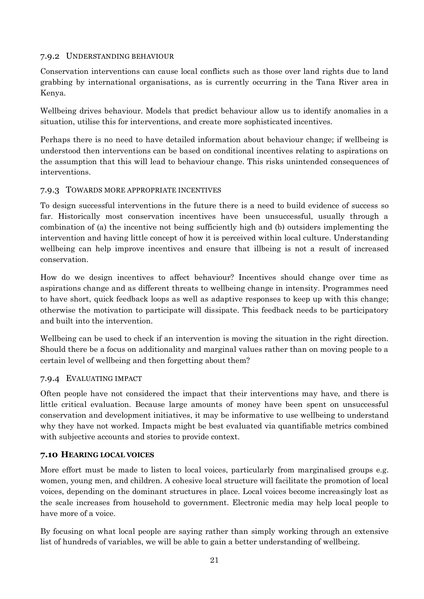#### <span id="page-20-0"></span>7.9.2 UNDERSTANDING BEHAVIOUR

Conservation interventions can cause local conflicts such as those over land rights due to land grabbing by international organisations, as is currently occurring in the Tana River area in Kenya.

Wellbeing drives behaviour. Models that predict behaviour allow us to identify anomalies in a situation, utilise this for interventions, and create more sophisticated incentives.

Perhaps there is no need to have detailed information about behaviour change; if wellbeing is understood then interventions can be based on conditional incentives relating to aspirations on the assumption that this will lead to behaviour change. This risks unintended consequences of interventions.

#### <span id="page-20-1"></span>7.9.3 TOWARDS MORE APPROPRIATE INCENTIVES

To design successful interventions in the future there is a need to build evidence of success so far. Historically most conservation incentives have been unsuccessful, usually through a combination of (a) the incentive not being sufficiently high and (b) outsiders implementing the intervention and having little concept of how it is perceived within local culture. Understanding wellbeing can help improve incentives and ensure that illbeing is not a result of increased conservation.

How do we design incentives to affect behaviour? Incentives should change over time as aspirations change and as different threats to wellbeing change in intensity. Programmes need to have short, quick feedback loops as well as adaptive responses to keep up with this change; otherwise the motivation to participate will dissipate. This feedback needs to be participatory and built into the intervention.

Wellbeing can be used to check if an intervention is moving the situation in the right direction. Should there be a focus on additionality and marginal values rather than on moving people to a certain level of wellbeing and then forgetting about them?

#### <span id="page-20-2"></span>7.9.4 EVALUATING IMPACT

Often people have not considered the impact that their interventions may have, and there is little critical evaluation. Because large amounts of money have been spent on unsuccessful conservation and development initiatives, it may be informative to use wellbeing to understand why they have not worked. Impacts might be best evaluated via quantifiable metrics combined with subjective accounts and stories to provide context.

#### <span id="page-20-3"></span>**7.10 HEARING LOCAL VOICES**

More effort must be made to listen to local voices, particularly from marginalised groups e.g. women, young men, and children. A cohesive local structure will facilitate the promotion of local voices, depending on the dominant structures in place. Local voices become increasingly lost as the scale increases from household to government. Electronic media may help local people to have more of a voice.

By focusing on what local people are saying rather than simply working through an extensive list of hundreds of variables, we will be able to gain a better understanding of wellbeing.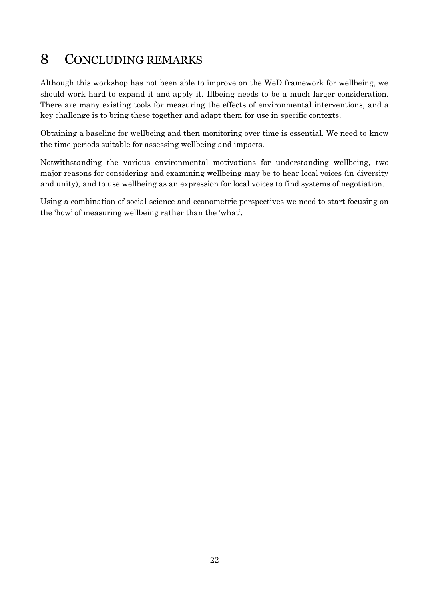## <span id="page-21-0"></span>8 CONCLUDING REMARKS

Although this workshop has not been able to improve on the WeD framework for wellbeing, we should work hard to expand it and apply it. Illbeing needs to be a much larger consideration. There are many existing tools for measuring the effects of environmental interventions, and a key challenge is to bring these together and adapt them for use in specific contexts.

Obtaining a baseline for wellbeing and then monitoring over time is essential. We need to know the time periods suitable for assessing wellbeing and impacts.

Notwithstanding the various environmental motivations for understanding wellbeing, two major reasons for considering and examining wellbeing may be to hear local voices (in diversity and unity), and to use wellbeing as an expression for local voices to find systems of negotiation.

Using a combination of social science and econometric perspectives we need to start focusing on the 'how' of measuring wellbeing rather than the 'what'.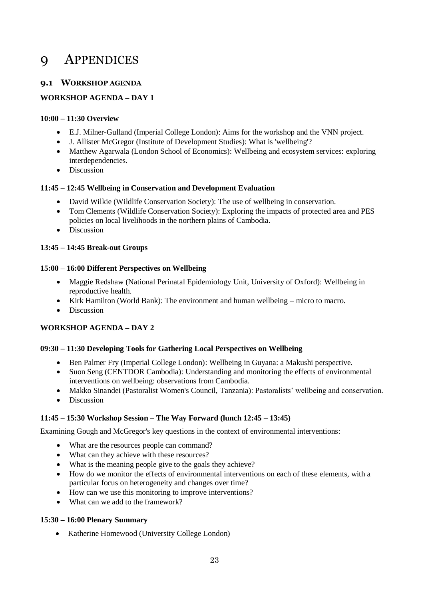### <span id="page-22-0"></span>9 APPENDICES

#### <span id="page-22-1"></span>**9.1 WORKSHOP AGENDA**

#### **WORKSHOP AGENDA – DAY 1**

#### **10:00 – 11:30 Overview**

- E.J. Milner-Gulland (Imperial College London): Aims for the workshop and the VNN project.
- J. Allister McGregor (Institute of Development Studies): What is 'wellbeing'?
- Matthew Agarwala (London School of Economics): Wellbeing and ecosystem services: exploring interdependencies.
- Discussion

#### **11:45 – 12:45 Wellbeing in Conservation and Development Evaluation**

- David Wilkie (Wildlife Conservation Society): The use of wellbeing in conservation.
- Tom Clements (Wildlife Conservation Society): Exploring the impacts of protected area and PES policies on local livelihoods in the northern plains of Cambodia.
- Discussion

#### **13:45 – 14:45 Break-out Groups**

#### **15:00 – 16:00 Different Perspectives on Wellbeing**

- Maggie Redshaw (National Perinatal Epidemiology Unit, University of Oxford): Wellbeing in reproductive health.
- Kirk Hamilton (World Bank): The environment and human wellbeing micro to macro.
- Discussion

#### **WORKSHOP AGENDA – DAY 2**

#### **09:30 – 11:30 Developing Tools for Gathering Local Perspectives on Wellbeing**

- Ben Palmer Fry (Imperial College London): Wellbeing in Guyana: a Makushi perspective.
- Suon Seng (CENTDOR Cambodia): Understanding and monitoring the effects of environmental interventions on wellbeing: observations from Cambodia.
- Makko Sinandei (Pastoralist Women's Council, Tanzania): Pastoralists' wellbeing and conservation.
- Discussion

#### **11:45 – 15:30 Workshop Session – The Way Forward (lunch 12:45 – 13:45)**

Examining Gough and McGregor's key questions in the context of environmental interventions:

- What are the resources people can command?
- What can they achieve with these resources?
- What is the meaning people give to the goals they achieve?
- How do we monitor the effects of environmental interventions on each of these elements, with a particular focus on heterogeneity and changes over time?
- How can we use this monitoring to improve interventions?
- What can we add to the framework?

#### **15:30 – 16:00 Plenary Summary**

Katherine Homewood (University College London)